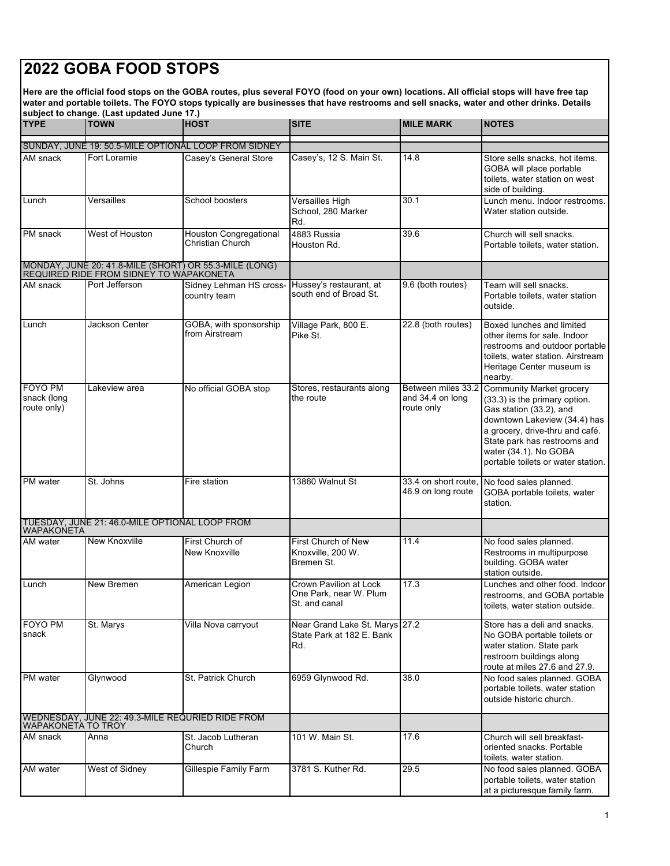## **2022 GOBA FOOD STOPS**

**Here are the official food stops on the GOBA routes, plus several FOYO (food on your own) locations. All official stops will have free tap water and portable toilets. The FOYO stops typically are businesses that have restrooms and sell snacks, water and other drinks. Details subject to change. (Last updated June 17.)**

| <b>TYPE</b>                                                            | subject to change. (Last updated June 17.)<br><b>TOWN</b> | <b>HOST</b>                                            | <b>SITE</b>                                                        | <b>MILE MARK</b>                                     | <b>NOTES</b>                                                                                                                                                                                                                                                  |  |  |  |
|------------------------------------------------------------------------|-----------------------------------------------------------|--------------------------------------------------------|--------------------------------------------------------------------|------------------------------------------------------|---------------------------------------------------------------------------------------------------------------------------------------------------------------------------------------------------------------------------------------------------------------|--|--|--|
|                                                                        |                                                           | SUNDAY, JUNE 19: 50.5-MILE OPTIONAL LOOP FROM SIDNEY   |                                                                    |                                                      |                                                                                                                                                                                                                                                               |  |  |  |
| AM snack                                                               | Fort Loramie                                              | Casey's General Store                                  | Casey's, 12 S. Main St.                                            | 14.8                                                 | Store sells snacks, hot items.<br>GOBA will place portable<br>toilets, water station on west<br>side of building.                                                                                                                                             |  |  |  |
| Lunch                                                                  | Versailles                                                | School boosters                                        | Versailles High<br>School, 280 Marker<br>Rd.                       | 30.1                                                 | Lunch menu. Indoor restrooms.<br>Water station outside.                                                                                                                                                                                                       |  |  |  |
| PM snack                                                               | West of Houston                                           | <b>Houston Congregational</b><br>Christian Church      | 4883 Russia<br>Houston Rd.                                         | 39.6                                                 | Church will sell snacks.<br>Portable toilets, water station.                                                                                                                                                                                                  |  |  |  |
|                                                                        | REQUIRED RIDE FROM SIDNEY TO WAPAKONETA                   | MONDAY, JUNE 20: 41.8-MILE (SHORT) OR 55.3-MILE (LONG) |                                                                    |                                                      |                                                                                                                                                                                                                                                               |  |  |  |
| AM snack                                                               | Port Jefferson                                            | Sidney Lehman HS cross-<br>country team                | Hussey's restaurant, at<br>south end of Broad St.                  | 9.6 (both routes)                                    | Team will sell snacks.<br>Portable toilets, water station<br>outside.                                                                                                                                                                                         |  |  |  |
| Lunch                                                                  | Jackson Center                                            | GOBA, with sponsorship<br>from Airstream               | Village Park, 800 E.<br>Pike St.                                   | 22.8 (both routes)                                   | Boxed lunches and limited<br>other items for sale. Indoor<br>restrooms and outdoor portable<br>toilets, water station. Airstream<br>Heritage Center museum is<br>nearby.                                                                                      |  |  |  |
| FOYO PM<br>snack (long<br>route only)                                  | Lakeview area                                             | No official GOBA stop                                  | Stores, restaurants along<br>the route                             | Between miles 33.2<br>and 34.4 on long<br>route only | <b>Community Market grocery</b><br>(33.3) is the primary option.<br>Gas station (33.2), and<br>downtown Lakeview (34.4) has<br>a grocery, drive-thru and café.<br>State park has restrooms and<br>water (34.1). No GOBA<br>portable toilets or water station. |  |  |  |
| PM water                                                               | St. Johns                                                 | Fire station                                           | 13860 Walnut St                                                    | 33.4 on short route.<br>46.9 on long route           | No food sales planned.<br>GOBA portable toilets, water<br>station.                                                                                                                                                                                            |  |  |  |
| WAPAKONETA                                                             | TUESDAY, JUNE 21: 46.0-MILE OPTIONAL LOOP FROM            |                                                        |                                                                    |                                                      |                                                                                                                                                                                                                                                               |  |  |  |
| AM water                                                               | New Knoxville                                             | First Church of<br>New Knoxville                       | First Church of New<br>Knoxville, 200 W.<br>Bremen St.             | 11.4                                                 | No food sales planned.<br>Restrooms in multipurpose<br>building. GOBA water<br>station outside.                                                                                                                                                               |  |  |  |
| Lunch                                                                  | New Bremen                                                | American Legion                                        | Crown Pavilion at Lock<br>One Park, near W. Plum<br>St. and canal  | 17.3                                                 | Lunches and other food. Indoor<br>restrooms, and GOBA portable<br>toilets, water station outside.                                                                                                                                                             |  |  |  |
| FOYO PM<br>snack                                                       | St. Marys                                                 | Villa Nova carryout                                    | Near Grand Lake St. Marys 27.2<br>State Park at 182 E. Bank<br>Rd. |                                                      | Store has a deli and snacks.<br>No GOBA portable toilets or<br>water station. State park<br>restroom buildings along<br>route at miles 27.6 and 27.9.                                                                                                         |  |  |  |
| PM water                                                               | Glynwood                                                  | St. Patrick Church                                     | 6959 Glynwood Rd.                                                  | 38.0                                                 | No food sales planned. GOBA<br>portable toilets, water station<br>outside historic church.                                                                                                                                                                    |  |  |  |
| WEDNESDAY, JUNE 22: 49.3-MILE REQURIED RIDE FROM<br>WAPAKONETA TO TROY |                                                           |                                                        |                                                                    |                                                      |                                                                                                                                                                                                                                                               |  |  |  |
| AM snack                                                               | Anna                                                      | St. Jacob Lutheran<br>Church                           | 101 W. Main St.                                                    | 17.6                                                 | Church will sell breakfast-<br>oriented snacks. Portable<br>toilets, water station.                                                                                                                                                                           |  |  |  |
| AM water                                                               | West of Sidney                                            | Gillespie Family Farm                                  | 3781 S. Kuther Rd.                                                 | 29.5                                                 | No food sales planned. GOBA<br>portable toilets, water station<br>at a picturesque family farm.                                                                                                                                                               |  |  |  |